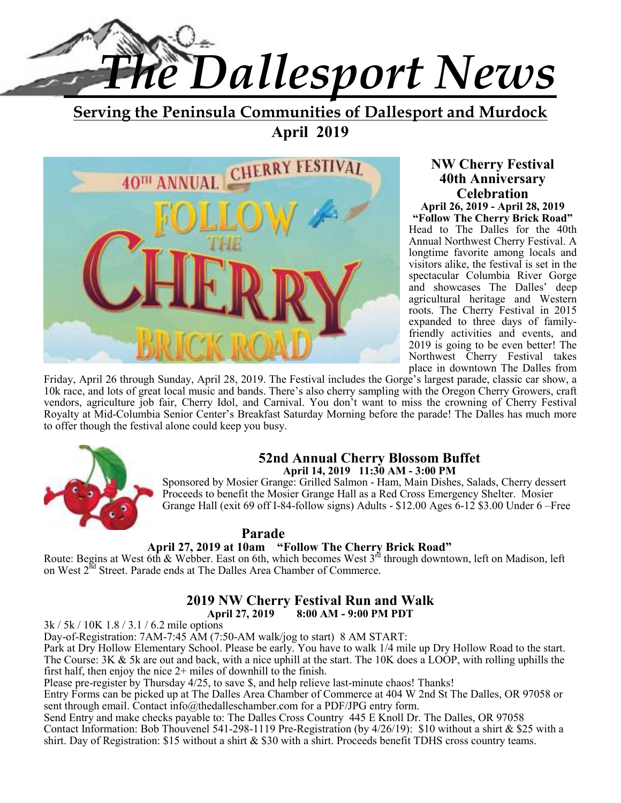

**Serving the Peninsula Communities of Dallesport and Murdock April 2019** 



**NW Cherry Festival 40th Anniversary Celebration** 

**April 26, 2019 - April 28, 2019 "Follow The Cherry Brick Road"**  Head to The Dalles for the 40th Annual Northwest Cherry Festival. A longtime favorite among locals and visitors alike, the festival is set in the spectacular Columbia River Gorge and showcases The Dalles' deep agricultural heritage and Western roots. The Cherry Festival in 2015 expanded to three days of familyfriendly activities and events, and 2019 is going to be even better! The Northwest Cherry Festival takes place in downtown The Dalles from

Friday, April 26 through Sunday, April 28, 2019. The Festival includes the Gorge's largest parade, classic car show, a 10k race, and lots of great local music and bands. There's also cherry sampling with the Oregon Cherry Growers, craft vendors, agriculture job fair, Cherry Idol, and Carnival. You don't want to miss the crowning of Cherry Festival Royalty at Mid-Columbia Senior Center's Breakfast Saturday Morning before the parade! The Dalles has much more to offer though the festival alone could keep you busy.



#### **52nd Annual Cherry Blossom Buffet April 14, 2019 11:30 AM - 3:00 PM**

Sponsored by Mosier Grange: Grilled Salmon - Ham, Main Dishes, Salads, Cherry dessert Proceeds to benefit the Mosier Grange Hall as a Red Cross Emergency Shelter. Mosier Grange Hall (exit 69 off I-84-follow signs) Adults - \$12.00 Ages 6-12 \$3.00 Under 6 –Free

#### **Parade**

#### **April 27, 2019 at 10am "Follow The Cherry Brick Road"**

Route: Begins at West 6th & Webber. East on 6th, which becomes West 3<sup>rd</sup> through downtown, left on Madison, left on West  $2^{\overline{nd}}$  Street. Parade ends at The Dalles Area Chamber of Commerce.

#### **2019 NW Cherry Festival Run and Walk April 27, 2019 8:00 AM - 9:00 PM PDT**

3k / 5k / 10K 1.8 / 3.1 / 6.2 mile options

Day-of-Registration: 7AM-7:45 AM (7:50-AM walk/jog to start) 8 AM START:

Park at Dry Hollow Elementary School. Please be early. You have to walk 1/4 mile up Dry Hollow Road to the start. The Course: 3K & 5k are out and back, with a nice uphill at the start. The 10K does a LOOP, with rolling uphills the first half, then enjoy the nice 2+ miles of downhill to the finish.

Please pre-register by Thursday 4/25, to save \$, and help relieve last-minute chaos! Thanks!

Entry Forms can be picked up at The Dalles Area Chamber of Commerce at 404 W 2nd St The Dalles, OR 97058 or sent through email. Contact info@thedalleschamber.com for a PDF/JPG entry form.

Send Entry and make checks payable to: The Dalles Cross Country 445 E Knoll Dr. The Dalles, OR 97058 Contact Information: Bob Thouvenel 541-298-1119 Pre-Registration (by 4/26/19): \$10 without a shirt & \$25 with a shirt. Day of Registration: \$15 without a shirt & \$30 with a shirt. Proceeds benefit TDHS cross country teams.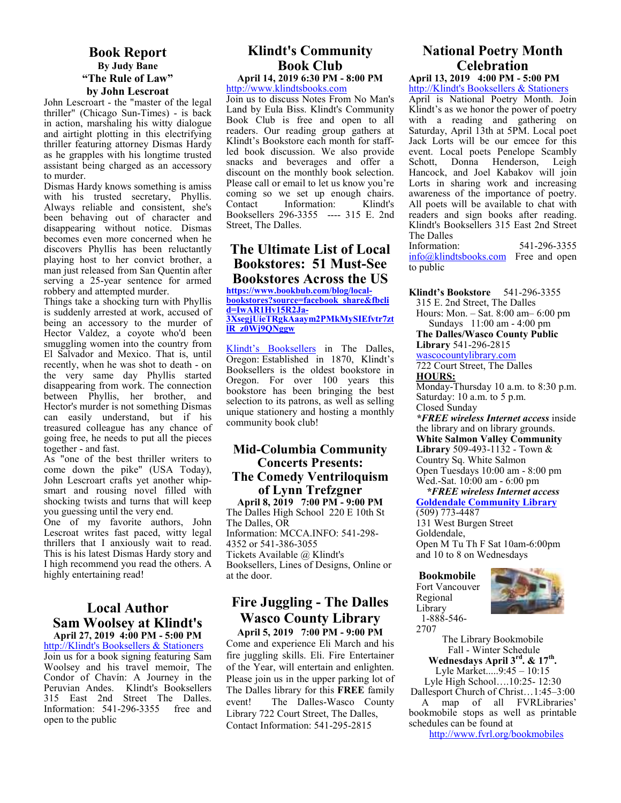#### **Book Report By Judy Bane "The Rule of Law" by John Lescroat**

John Lescroart - the "master of the legal thriller" (Chicago Sun-Times) - is back in action, marshaling his witty dialogue and airtight plotting in this electrifying thriller featuring attorney Dismas Hardy as he grapples with his longtime trusted assistant being charged as an accessory to murder.

Dismas Hardy knows something is amiss with his trusted secretary, Phyllis. Always reliable and consistent, she's been behaving out of character and disappearing without notice. Dismas becomes even more concerned when he discovers Phyllis has been reluctantly playing host to her convict brother, a man just released from San Quentin after serving a 25-year sentence for armed robbery and attempted murder.

Things take a shocking turn with Phyllis is suddenly arrested at work, accused of being an accessory to the murder of Hector Valdez, a coyote who'd been smuggling women into the country from El Salvador and Mexico. That is, until recently, when he was shot to death - on the very same day Phyllis started disappearing from work. The connection between Phyllis, her brother, and Hector's murder is not something Dismas can easily understand, but if his treasured colleague has any chance of going free, he needs to put all the pieces together - and fast.

As "one of the best thriller writers to come down the pike" (USA Today), John Lescroart crafts yet another whipsmart and rousing novel filled with shocking twists and turns that will keep you guessing until the very end.

One of my favorite authors, John Lescroat writes fast paced, witty legal thrillers that I anxiously wait to read. This is his latest Dismas Hardy story and I high recommend you read the others. A highly entertaining read!

#### **Local Author Sam Woolsey at Klindt's April 27, 2019 4:00 PM - 5:00 PM**

http://Klindt's Booksellers & Stationers Join us for a book signing featuring Sam Woolsey and his travel memoir, The Condor of Chavín: A Journey in the Peruvian Andes. Klindt's Booksellers 315 East 2nd Street The Dalles. Information: 541-296-3355 free and open to the public

#### **Klindt's Community Book Club April 14, 2019 6:30 PM - 8:00 PM**

http://www.klindtsbooks.com

Join us to discuss Notes From No Man's Land by Eula Biss. Klindt's Community Book Club is free and open to all readers. Our reading group gathers at Klindt's Bookstore each month for staffled book discussion. We also provide snacks and beverages and offer a discount on the monthly book selection. Please call or email to let us know you're coming so we set up enough chairs. Contact Information: Klindt's Booksellers 296-3355 ---- 315 E. 2nd Street, The Dalles.

#### **The Ultimate List of Local Bookstores: 51 Must-See Bookstores Across the US**

**https://www.bookbub.com/blog/localbookstores?source=facebook\_share&fbcli d=IwAR1Hv15R2Ja-3XsegjUieTRgkAaaym2PMkMySIEfvtr7zt lR\_z0Wj9QNggw**

Klindt's Booksellers in The Dalles, Oregon: Established in 1870, Klindt's Booksellers is the oldest bookstore in Oregon. For over 100 years this bookstore has been bringing the best selection to its patrons, as well as selling unique stationery and hosting a monthly community book club!

#### **Mid-Columbia Community Concerts Presents: The Comedy Ventriloquism of Lynn Trefzgner**

**April 8, 2019 7:00 PM - 9:00 PM**  The Dalles High School 220 E 10th St The Dalles, OR Information: MCCA.INFO: 541-298- 4352 or 541-386-3055 Tickets Available @ Klindt's Booksellers, Lines of Designs, Online or at the door.

## **Fire Juggling - The Dalles Wasco County Library**

**April 5, 2019 7:00 PM - 9:00 PM**  Come and experience Eli March and his fire juggling skills. Eli. Fire Entertainer of the Year, will entertain and enlighten. Please join us in the upper parking lot of The Dalles library for this **FREE** family event! The Dalles-Wasco County Library 722 Court Street, The Dalles, Contact Information: 541-295-2815

## **National Poetry Month Celebration**

**April 13, 2019 4:00 PM - 5:00 PM**  http://Klindt's Booksellers & Stationers

April is National Poetry Month. Join Klindt's as we honor the power of poetry with a reading and gathering on Saturday, April 13th at 5PM. Local poet Jack Lorts will be our emcee for this event. Local poets Penelope Scambly Schott, Donna Henderson, Leigh Hancock, and Joel Kabakov will join Lorts in sharing work and increasing awareness of the importance of poetry. All poets will be available to chat with readers and sign books after reading. Klindt's Booksellers 315 East 2nd Street The Dalles<br>Information: Information: 541-296-3355

info@klindtsbooks.com Free and open to public

**Klindt's Bookstore** 541-296-3355 315 E. 2nd Street, The Dalles Hours: Mon. – Sat. 8:00 am– 6:00 pm Sundays 11:00 am - 4:00 pm **The Dalles/Wasco County Public Library** 541-296-2815 wascocountylibrary.com 722 Court Street, The Dalles **HOURS:**  Monday-Thursday 10 a.m. to 8:30 p.m. Saturday: 10 a.m. to 5 p.m. Closed Sunday *\*FREE wireless Internet access* inside the library and on library grounds.

**White Salmon Valley Community Library** 509-493-1132 - Town & Country Sq. White Salmon Open Tuesdays 10:00 am - 8:00 pm Wed.-Sat. 10:00 am - 6:00 pm

#### *\*FREE wireless Internet access*  **Goldendale Community Library**  (509) 773-4487

131 West Burgen Street Goldendale, Open M Tu Th F Sat 10am-6:00pm and 10 to 8 on Wednesdays

**Bookmobile**  Fort Vancouver Regional Library 1-888-546- 2707



The Library Bookmobile Fall - Winter Schedule **Wednesdays April 3rd. & 17th .**  Lyle Market.....9:45 – 10:15 Lyle High School….10:25- 12:30 Dallesport Church of Christ…1:45–3:00

 A map of all FVRLibraries' bookmobile stops as well as printable schedules can be found at

http://www.fvrl.org/bookmobiles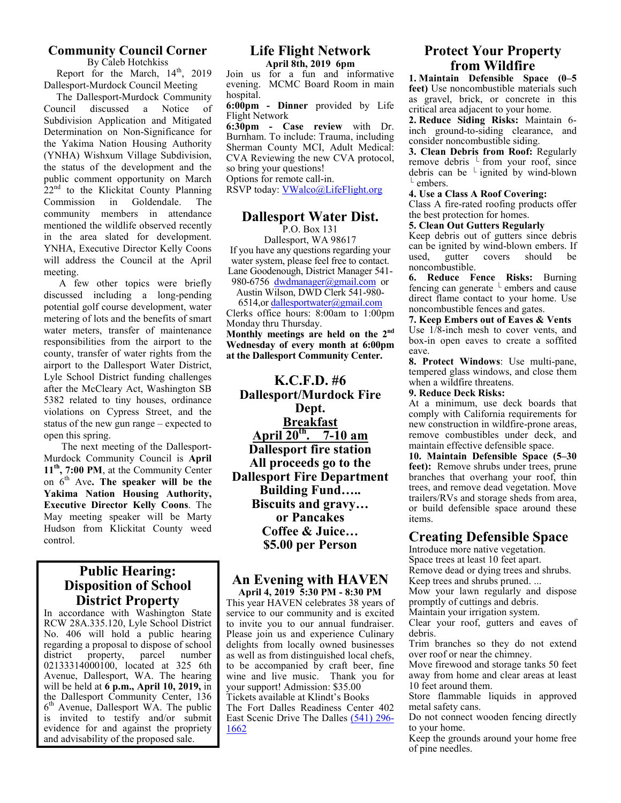#### **Community Council Corner**

By Caleb Hotchkiss Report for the March,  $14^{\text{th}}$ , 2019 Dallesport-Murdock Council Meeting

 The Dallesport-Murdock Community Council discussed a Notice of Subdivision Application and Mitigated Determination on Non-Significance for the Yakima Nation Housing Authority (YNHA) Wishxum Village Subdivision, the status of the development and the public comment opportunity on March  $22<sup>nd</sup>$  to the Klickitat County Planning Commission in Goldendale. The community members in attendance mentioned the wildlife observed recently in the area slated for development. YNHA, Executive Director Kelly Coons will address the Council at the April meeting.

 A few other topics were briefly discussed including a long-pending potential golf course development, water metering of lots and the benefits of smart water meters, transfer of maintenance responsibilities from the airport to the county, transfer of water rights from the airport to the Dallesport Water District, Lyle School District funding challenges after the McCleary Act, Washington SB 5382 related to tiny houses, ordinance violations on Cypress Street, and the status of the new gun range – expected to open this spring.

 The next meeting of the Dallesport-Murdock Community Council is **April 11th, 7:00 PM**, at the Community Center on 6th Ave**. The speaker will be the Yakima Nation Housing Authority, Executive Director Kelly Coons**. The May meeting speaker will be Marty Hudson from Klickitat County weed control.

#### **Public Hearing: Disposition of School District Property**

In accordance with Washington State RCW 28A.335.120, Lyle School District No. 406 will hold a public hearing regarding a proposal to dispose of school district property, parcel number 02133314000100, located at 325 6th Avenue, Dallesport, WA. The hearing will be held at **6 p.m., April 10, 2019,** in the Dallesport Community Center, 136 6<sup>th</sup> Avenue, Dallesport WA. The public is invited to testify and/or submit evidence for and against the propriety and advisability of the proposed sale.

## **Life Flight Network**

**April 8th, 2019 6pm**

Join us for a fun and informative evening. MCMC Board Room in main hospital.

**6:00pm - Dinner** provided by Life Flight Network

**6:30pm - Case review** with Dr. Burnham. To include: Trauma, including Sherman County MCI, Adult Medical: CVA Reviewing the new CVA protocol, so bring your questions!

Options for remote call-in.

RSVP today: VWalco@LifeFlight.org

#### **Dallesport Water Dist.**

P.O. Box 131 Dallesport, WA 98617 If you have any questions regarding your water system, please feel free to contact. Lane Goodenough, District Manager 541- 980-6756 dwdmanager@gmail.com or

Austin Wilson, DWD Clerk 541-980- 6514,or dallesportwater@gmail.com Clerks office hours: 8:00am to 1:00pm Monday thru Thursday. **Monthly meetings are held on the 2nd**

**Wednesday of every month at 6:00pm at the Dallesport Community Center.** 

**K.C.F.D. #6 Dallesport/Murdock Fire Dept. Breakfast April 20th. 7-10 am Dallesport fire station All proceeds go to the Dallesport Fire Department Building Fund….. Biscuits and gravy… or Pancakes Coffee & Juice… \$5.00 per Person** 

#### **An Evening with HAVEN April 4, 2019 5:30 PM - 8:30 PM**

This year HAVEN celebrates 38 years of service to our community and is excited to invite you to our annual fundraiser. Please join us and experience Culinary delights from locally owned businesses as well as from distinguished local chefs, to be accompanied by craft beer, fine wine and live music. Thank you for your support! Admission: \$35.00 Tickets available at Klindt's Books The Fort Dalles Readiness Center 402 East Scenic Drive The Dalles (541) 296- 1662

#### **Protect Your Property from Wildfire**

**1. Maintain Defensible Space (0–5 feet)** Use noncombustible materials such as gravel, brick, or concrete in this critical area adjacent to your home.

**2. Reduce Siding Risks:** Maintain 6 inch ground-to-siding clearance, and consider noncombustible siding.

**3. Clean Debris from Roof:** Regularly remove debris  $\perp$  from your roof, since debris can be  $\perp$  ignited by wind-blown embers.

#### **4. Use a Class A Roof Covering:**

Class A fire-rated roofing products offer the best protection for homes.

#### **5. Clean Out Gutters Regularly**

Keep debris out of gutters since debris can be ignited by wind-blown embers. If used, gutter covers should be noncombustible.

**6. Reduce Fence Risks:** Burning fencing can generate  $\perp$  embers and cause direct flame contact to your home. Use noncombustible fences and gates.

#### **7. Keep Embers out of Eaves & Vents**

Use 1/8-inch mesh to cover vents, and box-in open eaves to create a soffited eave.

**8. Protect Windows**: Use multi-pane, tempered glass windows, and close them when a wildfire threatens.

#### **9. Reduce Deck Risks:**

At a minimum, use deck boards that comply with California requirements for new construction in wildfire-prone areas, remove combustibles under deck, and maintain effective defensible space.

**10. Maintain Defensible Space (5–30 feet):** Remove shrubs under trees, prune branches that overhang your roof, thin trees, and remove dead vegetation. Move trailers/RVs and storage sheds from area, or build defensible space around these items.

#### **Creating Defensible Space**

Introduce more native vegetation. Space trees at least 10 feet apart.

Remove dead or dying trees and shrubs.

Keep trees and shrubs pruned. ...

Mow your lawn regularly and dispose promptly of cuttings and debris.

Maintain your irrigation system.

Clear your roof, gutters and eaves of debris.

Trim branches so they do not extend over roof or near the chimney.

Move firewood and storage tanks 50 feet away from home and clear areas at least 10 feet around them.

Store flammable liquids in approved metal safety cans.

Do not connect wooden fencing directly to your home.

Keep the grounds around your home free of pine needles.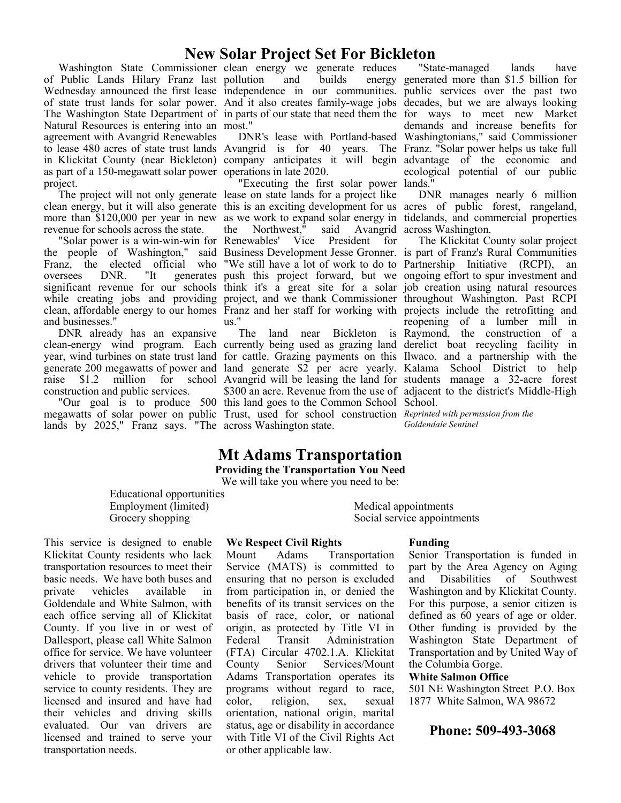### **New Solar Project Set For Bickleton**

of Public Lands Hilary Franz last pollution and builds energy Wednesday announced the first lease independence in our communities. public services over the past two of state trust lands for solar power. And it also creates family-wage jobs decades, but we are always looking The Washington State Department of in parts of our state that need them the for ways to meet new Market Natural Resources is entering into an most." agreement with Avangrid Renewables to lease 480 acres of state trust lands in Klickitat County (near Bickleton) as part of a 150-megawatt solar power operations in late 2020. project.

revenue for schools across the state.

"Solar power is a win-win-win for the people of Washington," said Business Development Jesse Gronner. is part of Franz's Rural Communities Franz, the elected official who oversees DNR. "It generates push this project forward, but we ongoing effort to spur investment and significant revenue for our schools think it's a great site for a solar job creation using natural resources while creating jobs and providing project, and we thank Commissioner throughout Washington. Past RCPI clean, affordable energy to our homes Franz and her staff for working with projects include the retrofitting and and businesses."

DNR already has an expansive construction and public services.

lands by 2025," Franz says. "The across Washington state.

Washington State Commissioner clean energy we generate reduces

Avangrid is for 40 years. The company anticipates it will begin

The project will not only generate lease on state lands for a project like "Executing the first solar power lands." the Northwest," said Avangrid across Washington. Vice President for "We still have a lot of work to do to Partnership Initiative (RCPI), an us."

clean-energy wind program. Each currently being used as grazing land derelict boat recycling facility in year, wind turbines on state trust land for cattle. Grazing payments on this Ilwaco, and a partnership with the generate 200 megawatts of power and land generate \$2 per acre yearly. Kalama School District to help raise \$1.2 million for school Avangrid will be leasing the land for students manage a 32-acre forest "Our goal is to produce 500 this land goes to the Common School School. megawatts of solar power on public Trust, used for school construction *Reprinted with permission from the*  \$300 an acre. Revenue from the use of adjacent to the district's Middle-High

DNR's lease with Portland-based Washingtonians," said Commissioner "State-managed lands have generated more than \$1.5 billion for demands and increase benefits for Franz. "Solar power helps us take full advantage of the economic and ecological potential of our public

clean energy, but it will also generate this is an exciting development for us acres of public forest, rangeland, more than \$120,000 per year in new as we work to expand solar energy in tidelands, and commercial properties DNR manages nearly 6 million

> The land near Bickleton is Raymond, the construction of a The Klickitat County solar project reopening of a lumber mill in

> > *Goldendale Sentinel*

#### **Mt Adams Transportation Providing the Transportation You Need**  We will take you where you need to be:

Educational opportunities Employment (limited) Grocery shopping

This service is designed to enable Klickitat County residents who lack transportation resources to meet their basic needs. We have both buses and private vehicles available in Goldendale and White Salmon, with each office serving all of Klickitat County. If you live in or west of Dallesport, please call White Salmon office for service. We have volunteer drivers that volunteer their time and vehicle to provide transportation service to county residents. They are licensed and insured and have had their vehicles and driving skills evaluated. Our van drivers are licensed and trained to serve your transportation needs.

#### **We Respect Civil Rights**

Mount Adams Transportation Service (MATS) is committed to ensuring that no person is excluded from participation in, or denied the benefits of its transit services on the basis of race, color, or national origin, as protected by Title VI in Federal Transit Administration (FTA) Circular 4702.1.A. Klickitat County Senior Services/Mount Adams Transportation operates its programs without regard to race, color, religion, sex, sexual orientation, national origin, marital status, age or disability in accordance with Title VI of the Civil Rights Act or other applicable law.

#### **Funding**

Medical appointments Social service appointments

> Senior Transportation is funded in part by the Area Agency on Aging and Disabilities of Southwest Washington and by Klickitat County. For this purpose, a senior citizen is defined as 60 years of age or older. Other funding is provided by the Washington State Department of Transportation and by United Way of the Columbia Gorge.

#### **White Salmon Office**

501 NE Washington Street P.O. Box 1877 White Salmon, WA 98672

#### **Phone: 509-493-3068**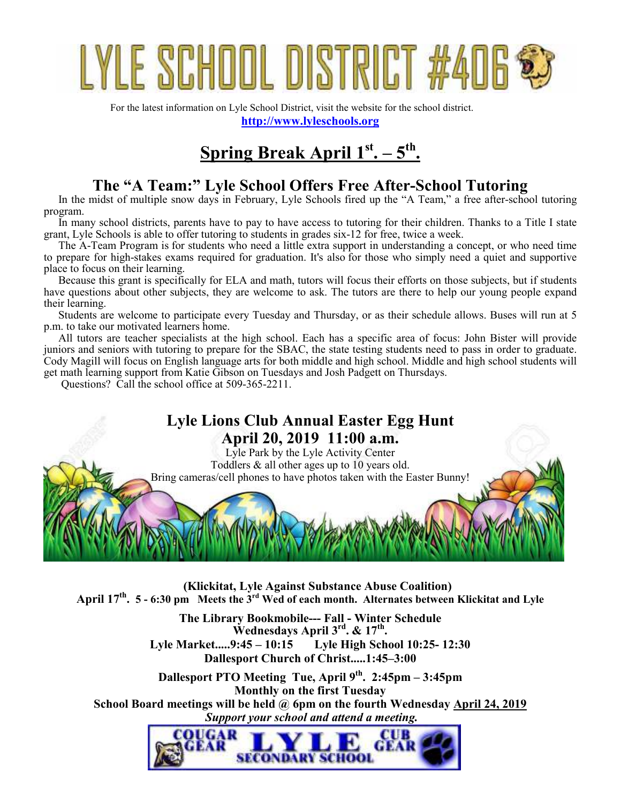# YLE SCHUUL DISTRIC

For the latest information on Lyle School District, visit the website for the school district. **http://www.lyleschools.org**

## **Spring Break April 1st. – 5th .**

## **The "A Team:" Lyle School Offers Free After-School Tutoring**

In the midst of multiple snow days in February, Lyle Schools fired up the "A Team," a free after-school tutoring program.

In many school districts, parents have to pay to have access to tutoring for their children. Thanks to a Title I state grant, Lyle Schools is able to offer tutoring to students in grades six-12 for free, twice a week.

The A-Team Program is for students who need a little extra support in understanding a concept, or who need time to prepare for high-stakes exams required for graduation. It's also for those who simply need a quiet and supportive place to focus on their learning.

Because this grant is specifically for ELA and math, tutors will focus their efforts on those subjects, but if students have questions about other subjects, they are welcome to ask. The tutors are there to help our young people expand their learning.

Students are welcome to participate every Tuesday and Thursday, or as their schedule allows. Buses will run at 5 p.m. to take our motivated learners home.

All tutors are teacher specialists at the high school. Each has a specific area of focus: John Bister will provide juniors and seniors with tutoring to prepare for the SBAC, the state testing students need to pass in order to graduate. Cody Magill will focus on English language arts for both middle and high school. Middle and high school students will get math learning support from Katie Gibson on Tuesdays and Josh Padgett on Thursdays.

Questions? Call the school office at 509-365-2211.

## **Lyle Lions Club Annual Easter Egg Hunt April 20, 2019 11:00 a.m.**

Lyle Park by the Lyle Activity Center Toddlers & all other ages up to 10 years old. Bring cameras/cell phones to have photos taken with the Easter Bunny!

**(Klickitat, Lyle Against Substance Abuse Coalition) April 17th . 5 - 6:30 pm Meets the 3rd Wed of each month. Alternates between Klickitat and Lyle**

> **The Library Bookmobile--- Fall - Winter Schedule Wednesdays April 3rd. & 17th . Lyle Market.....9:45 – 10:15 Lyle High School 10:25- 12:30 Dallesport Church of Christ.....1:45–3:00**

**Dallesport PTO Meeting Tue, April 9th. 2:45pm – 3:45pm Monthly on the first Tuesday School Board meetings will be held @ 6pm on the fourth Wednesday April 24, 2019**  *Support your school and attend a meeting.* 

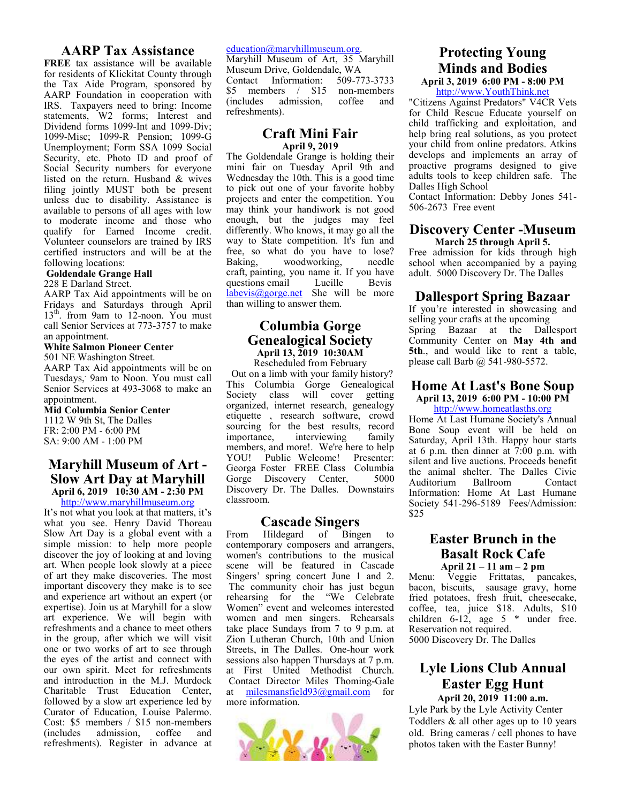#### **AARP Tax Assistance**

**FREE** tax assistance will be available for residents of Klickitat County through the Tax Aide Program, sponsored by AARP Foundation in cooperation with IRS. Taxpayers need to bring: Income statements, W2 forms; Interest and Dividend forms 1099-Int and 1099-Div; 1099-Misc; 1099-R Pension; 1099-G Unemployment; Form SSA 1099 Social Security, etc. Photo ID and proof of Social Security numbers for everyone listed on the return. Husband & wives filing jointly MUST both be present unless due to disability. Assistance is available to persons of all ages with low to moderate income and those who qualify for Earned Income credit. Volunteer counselors are trained by IRS certified instructors and will be at the following locations:

#### **Goldendale Grange Hall**

228 E Darland Street.

AARP Tax Aid appointments will be on Fridays and Saturdays through April 13<sup>th</sup>. from 9am to 12-noon. You must call Senior Services at 773-3757 to make an appointment.

#### **White Salmon Pioneer Center**

501 NE Washington Street. AARP Tax Aid appointments will be on

Tuesdays, 9am to Noon. You must call Senior Services at 493-3068 to make an appointment.

**Mid Columbia Senior Center**  1112 W 9th St, The Dalles FR: 2:00 PM - 6:00 PM SA: 9:00 AM - 1:00 PM

#### **Maryhill Museum of Art - Slow Art Day at Maryhill April 6, 2019 10:30 AM - 2:30 PM**

http://www.maryhillmuseum.org It's not what you look at that matters, it's what you see. Henry David Thoreau Slow Art Day is a global event with a simple mission: to help more people discover the joy of looking at and loving art. When people look slowly at a piece of art they make discoveries. The most important discovery they make is to see and experience art without an expert (or expertise). Join us at Maryhill for a slow art experience. We will begin with refreshments and a chance to meet others in the group, after which we will visit one or two works of art to see through the eyes of the artist and connect with our own spirit. Meet for refreshments and introduction in the M.J. Murdock Charitable Trust Education Center, followed by a slow art experience led by Curator of Education, Louise Palermo. Cost: \$5 members / \$15 non-members (includes admission, coffee and refreshments). Register in advance at

#### education@maryhillmuseum.org.

Maryhill Museum of Art, 35 Maryhill Museum Drive, Goldendale, WA<br>Contact Information: 509-773-3733 Contact Information: \$5 members / \$15 non-members<br>(includes admission coffee and (includes admission, coffee and refreshments).

#### **Craft Mini Fair April 9, 2019**

The Goldendale Grange is holding their mini fair on Tuesday April 9th and Wednesday the 10th. This is a good time to pick out one of your favorite hobby projects and enter the competition. You may think your handiwork is not good enough, but the judges may feel differently. Who knows, it may go all the way to State competition. It's fun and free, so what do you have to lose? Baking, woodworking, needle craft, painting, you name it. If you have questions email labevis@gorge.net She will be more than willing to answer them.

#### **Columbia Gorge Genealogical Society April 13, 2019 10:30AM**

Rescheduled from February Out on a limb with your family history? This Columbia Gorge Genealogical Society class will cover getting organized, internet research, genealogy etiquette , research software, crowd sourcing for the best results, record<br>importance, interviewing family interviewing members, and more!. We're here to help YOU! Public Welcome! Presenter: Georga Foster FREE Class Columbia<br>Gorge Discovery Center. 5000 Gorge Discovery Center, Discovery Dr. The Dalles. Downstairs classroom.

#### **Cascade Singers**

From Hildegard of Bingen to contemporary composers and arrangers, women's contributions to the musical scene will be featured in Cascade Singers' spring concert June 1 and 2. The community choir has just begun rehearsing for the "We Celebrate Women" event and welcomes interested women and men singers. Rehearsals take place Sundays from 7 to 9 p.m. at Zion Lutheran Church, 10th and Union Streets, in The Dalles. One-hour work sessions also happen Thursdays at 7 p.m. at First United Methodist Church. Contact Director Miles Thoming-Gale<br>at milesmansfield  $93\omega$  mail components milesmansfield $93@g$ gmail.com for more information.



## **Protecting Young Minds and Bodies**

**April 3, 2019 6:00 PM - 8:00 PM**  http://www.YouthThink.net

"Citizens Against Predators" V4CR Vets for Child Rescue Educate yourself on child trafficking and exploitation, and help bring real solutions, as you protect your child from online predators. Atkins develops and implements an array of proactive programs designed to give adults tools to keep children safe. The Dalles High School

Contact Information: Debby Jones 541- 506-2673 Free event

#### **Discovery Center -Museum March 25 through April 5.**

Free admission for kids through high school when accompanied by a paying adult. 5000 Discovery Dr. The Dalles

#### **Dallesport Spring Bazaar**

If you're interested in showcasing and selling your crafts at the upcoming Spring Bazaar at the Dallesport Community Center on **May 4th and 5th**., and would like to rent a table, please call Barb @ 541-980-5572.

#### **Home At Last's Bone Soup April 13, 2019 6:00 PM - 10:00 PM**

http://www.homeatlasths.org

Home At Last Humane Society's Annual Bone Soup event will be held on Saturday, April 13th. Happy hour starts at 6 p.m. then dinner at 7:00 p.m. with silent and live auctions. Proceeds benefit the animal shelter. The Dalles Civic<br>Auditorium Ballroom Contact Auditorium Ballroom Contact Information: Home At Last Humane Society 541-296-5189 Fees/Admission: \$25

#### **Easter Brunch in the Basalt Rock Cafe April 21 – 11 am – 2 pm**

Menu: Veggie Frittatas, pancakes, bacon, biscuits, sausage gravy, home fried potatoes, fresh fruit, cheesecake, coffee, tea, juice \$18. Adults, \$10 children 6-12, age 5 \* under free. Reservation not required. 5000 Discovery Dr. The Dalles

#### **Lyle Lions Club Annual Easter Egg Hunt April 20, 2019 11:00 a.m.**

Lyle Park by the Lyle Activity Center Toddlers & all other ages up to 10 years old. Bring cameras / cell phones to have photos taken with the Easter Bunny!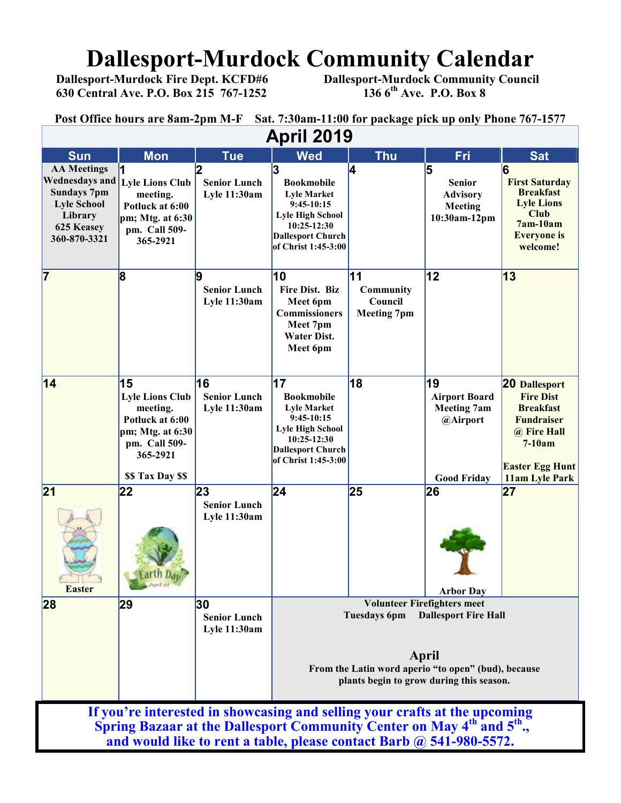## **Dallesport-Murdock Community Calendar**<br>Dallesport-Murdock Fire Dept. KCFD#6 Dallesport-Murdock Community Counci

 **630 Central Ave. P.O. Box 215 767-1252 136 6th Ave. P.O. Box 8** 

 **Dallesport-Murdock Community Council 136 6<sup>th</sup> Ave. P.O. Box 8** 

**Post Office hours are 8am-2pm M-F Sat. 7:30am-11:00 for package pick up only Phone 767-1577**

| <b>April 2019</b>                                                                                                                                                            |                                                                                                                                     |                                            |                                                                                                                                                                                                      |                                                         |                                                                                    |                                                                                                                                                          |  |  |
|------------------------------------------------------------------------------------------------------------------------------------------------------------------------------|-------------------------------------------------------------------------------------------------------------------------------------|--------------------------------------------|------------------------------------------------------------------------------------------------------------------------------------------------------------------------------------------------------|---------------------------------------------------------|------------------------------------------------------------------------------------|----------------------------------------------------------------------------------------------------------------------------------------------------------|--|--|
| <b>Sun</b>                                                                                                                                                                   | <b>Mon</b>                                                                                                                          | <b>Tue</b>                                 | <b>Wed</b>                                                                                                                                                                                           | <b>Thu</b>                                              | Fri                                                                                | <b>Sat</b>                                                                                                                                               |  |  |
| <b>AA Meetings</b><br><b>Wednesdays and</b><br><b>Sundays 7pm</b><br><b>Lyle School</b><br>Library<br>625 Keasey<br>360-870-3321                                             | <b>Lyle Lions Club</b><br>meeting.<br>Potluck at 6:00<br>pm; Mtg. at $6:30$<br>pm. Call 509-<br>365-2921                            | <b>Senior Lunch</b><br><b>Lyle 11:30am</b> | 3<br><b>Bookmobile</b><br><b>Lyle Market</b><br>$9:45-10:15$<br><b>Lyle High School</b><br>10:25-12:30<br><b>Dallesport Church</b><br>of Christ 1:45-3:00                                            | 14                                                      | 5<br><b>Senior</b><br><b>Advisory</b><br>Meeting<br>10:30am-12pm                   | 6<br><b>First Saturday</b><br><b>Breakfast</b><br><b>Lyle Lions</b><br><b>Club</b><br>$7am-10am$<br><b>Everyone</b> is<br>welcome!                       |  |  |
| 17                                                                                                                                                                           | 8                                                                                                                                   | 9<br><b>Senior Lunch</b><br>Lyle 11:30am   | 10<br><b>Fire Dist. Biz</b><br>Meet 6pm<br><b>Commissioners</b><br>Meet 7pm<br><b>Water Dist.</b><br>Meet 6pm                                                                                        | 11<br><b>Community</b><br>Council<br><b>Meeting 7pm</b> | 12                                                                                 | 13                                                                                                                                                       |  |  |
| 14                                                                                                                                                                           | 15<br><b>Lyle Lions Club</b><br>meeting.<br>Potluck at 6:00<br>pm; Mtg. at $6:30$<br>pm. Call 509-<br>365-2921<br>\$\$ Tax Day \$\$ | 16<br><b>Senior Lunch</b><br>Lyle 11:30am  | 17<br><b>Bookmobile</b><br><b>Lyle Market</b><br>$9:45-10:15$<br><b>Lyle High School</b><br>10:25-12:30<br><b>Dallesport Church</b><br>of Christ 1:45-3:00                                           | 18                                                      | 19<br><b>Airport Board</b><br><b>Meeting 7am</b><br>@Airport<br><b>Good Friday</b> | <b>20 Dallesport</b><br><b>Fire Dist</b><br><b>Breakfast</b><br><b>Fundraiser</b><br>@ Fire Hall<br>$7-10am$<br><b>Easter Egg Hunt</b><br>11am Lyle Park |  |  |
| 21<br><b>STATISTICS</b><br><b>Easter</b>                                                                                                                                     | 22<br>April 22                                                                                                                      | 23<br><b>Senior Lunch</b><br>Lyle 11:30am  | 24                                                                                                                                                                                                   | 25                                                      | 26<br><b>Arbor Day</b>                                                             | 27                                                                                                                                                       |  |  |
| 28                                                                                                                                                                           | 29                                                                                                                                  | 30<br><b>Senior Lunch</b><br>Lyle 11:30am  | <b>Volunteer Firefighters meet</b><br><b>Dallesport Fire Hall</b><br>Tuesdays 6pm<br><b>April</b><br>From the Latin word aperio "to open" (bud), because<br>plants begin to grow during this season. |                                                         |                                                                                    |                                                                                                                                                          |  |  |
| If you're interested in showcasing and selling your crafts at the upcoming<br>Spring Bazaar at the Dallesport Community Center on May 4 <sup>th</sup> and 5 <sup>th</sup> ., |                                                                                                                                     |                                            |                                                                                                                                                                                                      |                                                         |                                                                                    |                                                                                                                                                          |  |  |

**and would like to rent a table, please contact Barb @ 541-980-5572.**